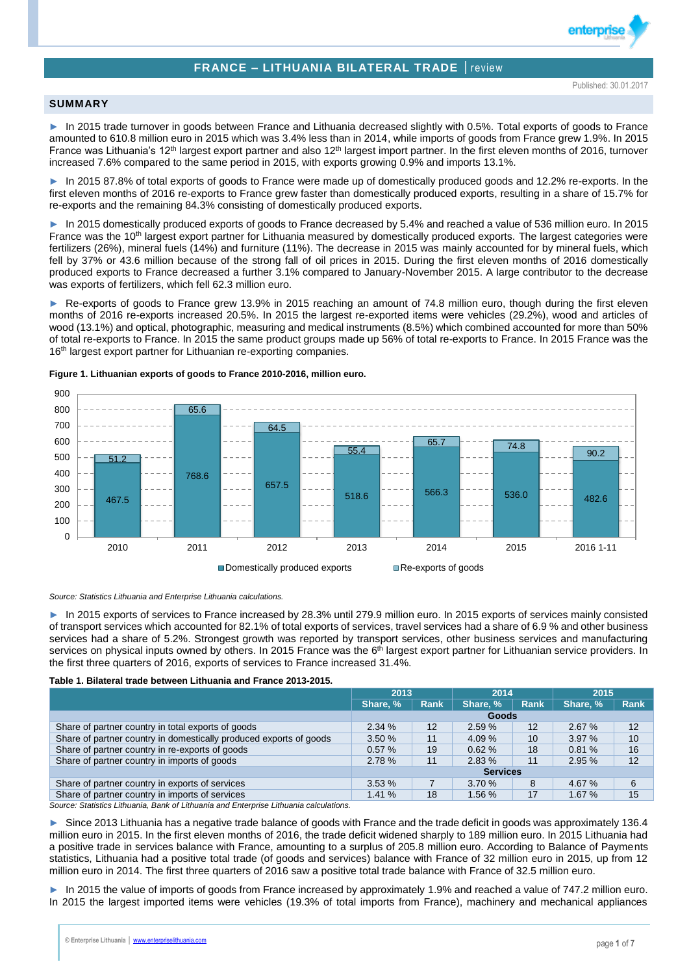# **FRANCE – LITHUANIA BILATERAL TRADE** │review

enterpri

### **SUMMARY**

► In 2015 trade turnover in goods between France and Lithuania decreased slightly with 0.5%. Total exports of goods to France amounted to 610.8 million euro in 2015 which was 3.4% less than in 2014, while imports of goods from France grew 1.9%. In 2015 France was Lithuania's 12<sup>th</sup> largest export partner and also 12<sup>th</sup> largest import partner. In the first eleven months of 2016, turnover increased 7.6% compared to the same period in 2015, with exports growing 0.9% and imports 13.1%.

In 2015 87.8% of total exports of goods to France were made up of domestically produced goods and 12.2% re-exports. In the first eleven months of 2016 re-exports to France grew faster than domestically produced exports, resulting in a share of 15.7% for re-exports and the remaining 84.3% consisting of domestically produced exports.

► In 2015 domestically produced exports of goods to France decreased by 5.4% and reached a value of 536 million euro. In 2015 France was the 10<sup>th</sup> largest export partner for Lithuania measured by domestically produced exports. The largest categories were fertilizers (26%), mineral fuels (14%) and furniture (11%). The decrease in 2015 was mainly accounted for by mineral fuels, which fell by 37% or 43.6 million because of the strong fall of oil prices in 2015. During the first eleven months of 2016 domestically produced exports to France decreased a further 3.1% compared to January-November 2015. A large contributor to the decrease was exports of fertilizers, which fell 62.3 million euro.

► Re-exports of goods to France grew 13.9% in 2015 reaching an amount of 74.8 million euro, though during the first eleven months of 2016 re-exports increased 20.5%. In 2015 the largest re-exported items were vehicles (29.2%), wood and articles of wood (13.1%) and optical, photographic, measuring and medical instruments (8.5%) which combined accounted for more than 50% of total re-exports to France. In 2015 the same product groups made up 56% of total re-exports to France. In 2015 France was the 16<sup>th</sup> largest export partner for Lithuanian re-exporting companies.



### **Figure 1. Lithuanian exports of goods to France 2010-2016, million euro.**

*Source: Statistics Lithuania and Enterprise Lithuania calculations.*

► In 2015 exports of services to France increased by 28.3% until 279.9 million euro. In 2015 exports of services mainly consisted of transport services which accounted for 82.1% of total exports of services, travel services had a share of 6.9 % and other business services had a share of 5.2%. Strongest growth was reported by transport services, other business services and manufacturing services on physical inputs owned by others. In 2015 France was the 6<sup>th</sup> largest export partner for Lithuanian service providers. In the first three quarters of 2016, exports of services to France increased 31.4%.

#### **Table 1. Bilateral trade between Lithuania and France 2013-2015.**

|                                                                    | 2013            |             | 2014     |      | 2015     |             |  |
|--------------------------------------------------------------------|-----------------|-------------|----------|------|----------|-------------|--|
|                                                                    | Share, %        | <b>Rank</b> | Share, % | Rank | Share, % | <b>Rank</b> |  |
|                                                                    | Goods           |             |          |      |          |             |  |
| Share of partner country in total exports of goods                 | 2.34%           | 12          | 2.59%    | 12   | 2.67%    | 12          |  |
| Share of partner country in domestically produced exports of goods | 3.50%           | 11          | 4.09 %   | 10   | 3.97%    | 10          |  |
| Share of partner country in re-exports of goods                    | 0.57%           | 19          | 0.62%    | 18   | 0.81%    | 16          |  |
| Share of partner country in imports of goods                       | 2.78%           | 11          | 2.83%    | 11   | 2.95%    | 12          |  |
|                                                                    | <b>Services</b> |             |          |      |          |             |  |
| Share of partner country in exports of services                    | 3.53%           |             | 3.70%    | 8    | 4.67 %   | 6           |  |
| Share of partner country in imports of services                    | 1.41%           | 18          | 1.56%    | 17   | 1.67%    | 15          |  |

*Source: Statistics Lithuania, Bank of Lithuania and Enterprise Lithuania calculations.*

► Since 2013 Lithuania has a negative trade balance of goods with France and the trade deficit in goods was approximately 136.4 million euro in 2015. In the first eleven months of 2016, the trade deficit widened sharply to 189 million euro. In 2015 Lithuania had a positive trade in services balance with France, amounting to a surplus of 205.8 million euro. According to Balance of Payments statistics, Lithuania had a positive total trade (of goods and services) balance with France of 32 million euro in 2015, up from 12 million euro in 2014. The first three quarters of 2016 saw a positive total trade balance with France of 32.5 million euro.

In 2015 the value of imports of goods from France increased by approximately 1.9% and reached a value of 747.2 million euro. In 2015 the largest imported items were vehicles (19.3% of total imports from France), machinery and mechanical appliances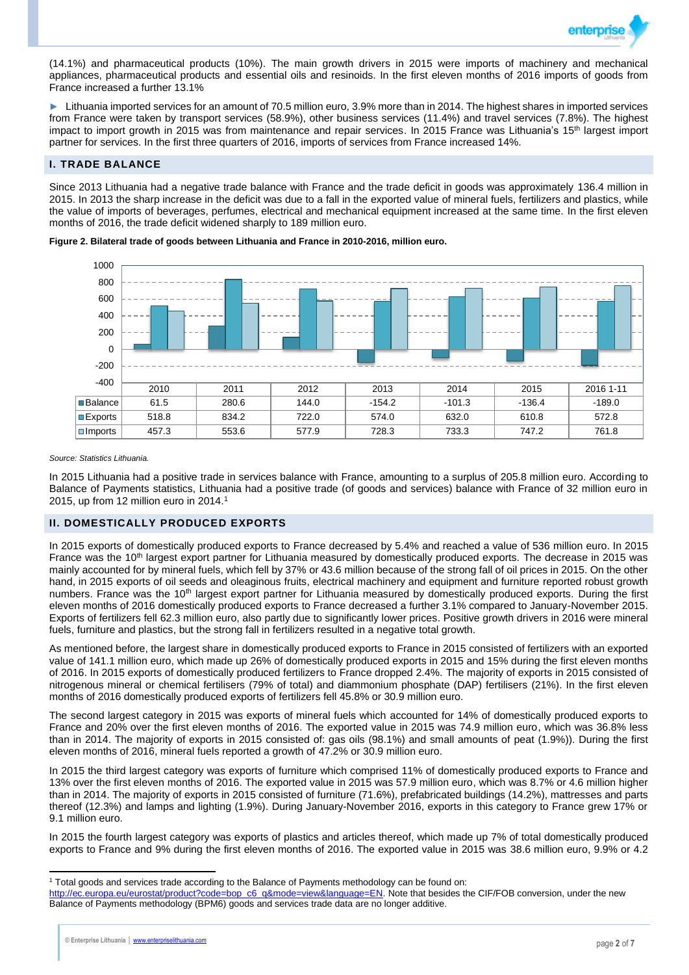

(14.1%) and pharmaceutical products (10%). The main growth drivers in 2015 were imports of machinery and mechanical appliances, pharmaceutical products and essential oils and resinoids. In the first eleven months of 2016 imports of goods from France increased a further 13.1%

► Lithuania imported services for an amount of 70.5 million euro, 3.9% more than in 2014. The highest shares in imported services from France were taken by transport services (58.9%), other business services (11.4%) and travel services (7.8%). The highest impact to import growth in 2015 was from maintenance and repair services. In 2015 France was Lithuania's 15<sup>th</sup> largest import partner for services. In the first three quarters of 2016, imports of services from France increased 14%.

## **I. TRADE BALANCE**

Since 2013 Lithuania had a negative trade balance with France and the trade deficit in goods was approximately 136.4 million in 2015. In 2013 the sharp increase in the deficit was due to a fall in the exported value of mineral fuels, fertilizers and plastics, while the value of imports of beverages, perfumes, electrical and mechanical equipment increased at the same time. In the first eleven months of 2016, the trade deficit widened sharply to 189 million euro.

**Figure 2. Bilateral trade of goods between Lithuania and France in 2010-2016, million euro.**



*Source: Statistics Lithuania.*

In 2015 Lithuania had a positive trade in services balance with France, amounting to a surplus of 205.8 million euro. According to Balance of Payments statistics, Lithuania had a positive trade (of goods and services) balance with France of 32 million euro in 2015, up from 12 million euro in 2014.<sup>1</sup>

## **II. DOMESTICALLY PRODUCED EXPORTS**

In 2015 exports of domestically produced exports to France decreased by 5.4% and reached a value of 536 million euro. In 2015 France was the 10<sup>th</sup> largest export partner for Lithuania measured by domestically produced exports. The decrease in 2015 was mainly accounted for by mineral fuels, which fell by 37% or 43.6 million because of the strong fall of oil prices in 2015. On the other hand, in 2015 exports of oil seeds and oleaginous fruits, electrical machinery and equipment and furniture reported robust growth numbers. France was the 10<sup>th</sup> largest export partner for Lithuania measured by domestically produced exports. During the first eleven months of 2016 domestically produced exports to France decreased a further 3.1% compared to January-November 2015. Exports of fertilizers fell 62.3 million euro, also partly due to significantly lower prices. Positive growth drivers in 2016 were mineral fuels, furniture and plastics, but the strong fall in fertilizers resulted in a negative total growth.

As mentioned before, the largest share in domestically produced exports to France in 2015 consisted of fertilizers with an exported value of 141.1 million euro, which made up 26% of domestically produced exports in 2015 and 15% during the first eleven months of 2016. In 2015 exports of domestically produced fertilizers to France dropped 2.4%. The majority of exports in 2015 consisted of nitrogenous mineral or chemical fertilisers (79% of total) and diammonium phosphate (DAP) fertilisers (21%). In the first eleven months of 2016 domestically produced exports of fertilizers fell 45.8% or 30.9 million euro.

The second largest category in 2015 was exports of mineral fuels which accounted for 14% of domestically produced exports to France and 20% over the first eleven months of 2016. The exported value in 2015 was 74.9 million euro, which was 36.8% less than in 2014. The majority of exports in 2015 consisted of: gas oils (98.1%) and small amounts of peat (1.9%)). During the first eleven months of 2016, mineral fuels reported a growth of 47.2% or 30.9 million euro.

In 2015 the third largest category was exports of furniture which comprised 11% of domestically produced exports to France and 13% over the first eleven months of 2016. The exported value in 2015 was 57.9 million euro, which was 8.7% or 4.6 million higher than in 2014. The majority of exports in 2015 consisted of furniture (71.6%), prefabricated buildings (14.2%), mattresses and parts thereof (12.3%) and lamps and lighting (1.9%). During January-November 2016, exports in this category to France grew 17% or 9.1 million euro.

In 2015 the fourth largest category was exports of plastics and articles thereof, which made up 7% of total domestically produced exports to France and 9% during the first eleven months of 2016. The exported value in 2015 was 38.6 million euro, 9.9% or 4.2

 $\overline{a}$ 

<sup>1</sup> Total goods and services trade according to the Balance of Payments methodology can be found on:

[http://ec.europa.eu/eurostat/product?code=bop\\_c6\\_q&mode=view&language=EN.](http://ec.europa.eu/eurostat/product?code=bop_c6_q&mode=view&language=EN) Note that besides the CIF/FOB conversion, under the new Balance of Payments methodology (BPM6) goods and services trade data are no longer additive.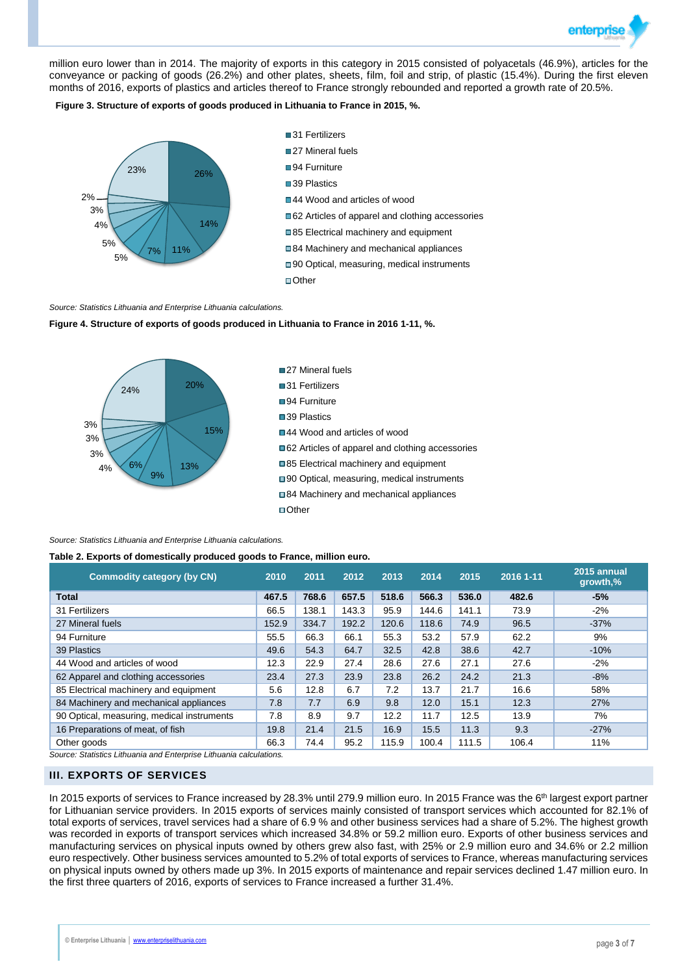

million euro lower than in 2014. The majority of exports in this category in 2015 consisted of polyacetals (46.9%), articles for the conveyance or packing of goods (26.2%) and other plates, sheets, film, foil and strip, of plastic (15.4%). During the first eleven months of 2016, exports of plastics and articles thereof to France strongly rebounded and reported a growth rate of 20.5%.

**Figure 3. Structure of exports of goods produced in Lithuania to France in 2015, %.**



#### *Source: Statistics Lithuania and Enterprise Lithuania calculations.*

### **Figure 4. Structure of exports of goods produced in Lithuania to France in 2016 1-11, %.**



*Source: Statistics Lithuania and Enterprise Lithuania calculations.*

#### **Table 2. Exports of domestically produced goods to France, million euro.**

| <b>Commodity category (by CN)</b>          | 2010  | 2011  | 2012  | 2013  | 2014  | 2015  | 2016 1-11 | 2015 annual<br>growth,% |
|--------------------------------------------|-------|-------|-------|-------|-------|-------|-----------|-------------------------|
| <b>Total</b>                               | 467.5 | 768.6 | 657.5 | 518.6 | 566.3 | 536.0 | 482.6     | $-5%$                   |
| 31 Fertilizers                             | 66.5  | 138.1 | 143.3 | 95.9  | 144.6 | 141.1 | 73.9      | $-2%$                   |
| 27 Mineral fuels                           | 152.9 | 334.7 | 192.2 | 120.6 | 118.6 | 74.9  | 96.5      | $-37%$                  |
| 94 Furniture                               | 55.5  | 66.3  | 66.1  | 55.3  | 53.2  | 57.9  | 62.2      | 9%                      |
| 39 Plastics                                | 49.6  | 54.3  | 64.7  | 32.5  | 42.8  | 38.6  | 42.7      | $-10%$                  |
| 44 Wood and articles of wood               | 12.3  | 22.9  | 27.4  | 28.6  | 27.6  | 27.1  | 27.6      | $-2%$                   |
| 62 Apparel and clothing accessories        | 23.4  | 27.3  | 23.9  | 23.8  | 26.2  | 24.2  | 21.3      | $-8%$                   |
| 85 Electrical machinery and equipment      | 5.6   | 12.8  | 6.7   | 7.2   | 13.7  | 21.7  | 16.6      | 58%                     |
| 84 Machinery and mechanical appliances     | 7.8   | 7.7   | 6.9   | 9.8   | 12.0  | 15.1  | 12.3      | 27%                     |
| 90 Optical, measuring, medical instruments | 7.8   | 8.9   | 9.7   | 12.2  | 11.7  | 12.5  | 13.9      | 7%                      |
| 16 Preparations of meat, of fish           | 19.8  | 21.4  | 21.5  | 16.9  | 15.5  | 11.3  | 9.3       | $-27%$                  |
| Other goods                                | 66.3  | 74.4  | 95.2  | 115.9 | 100.4 | 111.5 | 106.4     | 11%                     |

*Source: Statistics Lithuania and Enterprise Lithuania calculations.*

## **III. EXPORTS OF SERVICES**

In 2015 exports of services to France increased by 28.3% until 279.9 million euro. In 2015 France was the 6<sup>th</sup> largest export partner for Lithuanian service providers. In 2015 exports of services mainly consisted of transport services which accounted for 82.1% of total exports of services, travel services had a share of 6.9 % and other business services had a share of 5.2%. The highest growth was recorded in exports of transport services which increased 34.8% or 59.2 million euro. Exports of other business services and manufacturing services on physical inputs owned by others grew also fast, with 25% or 2.9 million euro and 34.6% or 2.2 million euro respectively. Other business services amounted to 5.2% of total exports of services to France, whereas manufacturing services on physical inputs owned by others made up 3%. In 2015 exports of maintenance and repair services declined 1.47 million euro. In the first three quarters of 2016, exports of services to France increased a further 31.4%.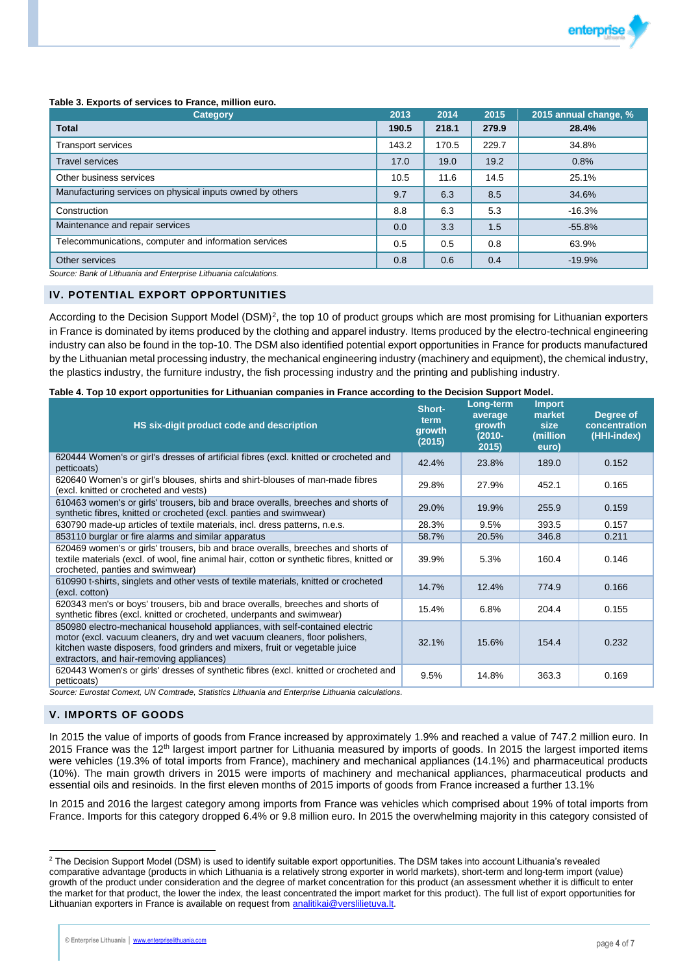

#### **Table 3. Exports of services to France, million euro.**

| <b>Category</b>                                           | 2013  | 2014  | 2015  | 2015 annual change, % |
|-----------------------------------------------------------|-------|-------|-------|-----------------------|
| <b>Total</b>                                              | 190.5 | 218.1 | 279.9 | 28.4%                 |
| <b>Transport services</b>                                 | 143.2 | 170.5 | 229.7 | 34.8%                 |
| <b>Travel services</b>                                    | 17.0  | 19.0  | 19.2  | 0.8%                  |
| Other business services                                   | 10.5  | 11.6  | 14.5  | 25.1%                 |
| Manufacturing services on physical inputs owned by others | 9.7   | 6.3   | 8.5   | 34.6%                 |
| Construction                                              | 8.8   | 6.3   | 5.3   | $-16.3%$              |
| Maintenance and repair services                           | 0.0   | 3.3   | 1.5   | $-55.8%$              |
| Telecommunications, computer and information services     | 0.5   | 0.5   | 0.8   | 63.9%                 |
| Other services                                            | 0.8   | 0.6   | 0.4   | $-19.9%$              |

*Source: Bank of Lithuania and Enterprise Lithuania calculations.*

### **IV. POTENTIAL EXPORT OPPORTUNITIES**

According to the Decision Support Model (DSM)<sup>2</sup>, the top 10 of product groups which are most promising for Lithuanian exporters in France is dominated by items produced by the clothing and apparel industry. Items produced by the electro-technical engineering industry can also be found in the top-10. The DSM also identified potential export opportunities in France for products manufactured by the Lithuanian metal processing industry, the mechanical engineering industry (machinery and equipment), the chemical industry, the plastics industry, the furniture industry, the fish processing industry and the printing and publishing industry.

#### **Table 4. Top 10 export opportunities for Lithuanian companies in France according to the Decision Support Model.**

| HS six-digit product code and description                                                                                                                                                                                                                                               | Short-<br>term<br>growth<br>(2015) | Long-term<br>average<br>growth<br>$(2010 -$<br>2015) | <b>Import</b><br>market<br>size<br>(million<br>euro) | Degree of<br>concentration<br>(HHI-index) |
|-----------------------------------------------------------------------------------------------------------------------------------------------------------------------------------------------------------------------------------------------------------------------------------------|------------------------------------|------------------------------------------------------|------------------------------------------------------|-------------------------------------------|
| 620444 Women's or girl's dresses of artificial fibres (excl. knitted or crocheted and<br>petticoats)                                                                                                                                                                                    | 42.4%                              | 23.8%                                                | 189.0                                                | 0.152                                     |
| 620640 Women's or girl's blouses, shirts and shirt-blouses of man-made fibres<br>(excl. knitted or crocheted and vests)                                                                                                                                                                 | 29.8%                              | 27.9%                                                | 452.1                                                | 0.165                                     |
| 610463 women's or girls' trousers, bib and brace overalls, breeches and shorts of<br>synthetic fibres, knitted or crocheted (excl. panties and swimwear)                                                                                                                                | 29.0%                              | 19.9%                                                | 255.9                                                | 0.159                                     |
| 630790 made-up articles of textile materials, incl. dress patterns, n.e.s.                                                                                                                                                                                                              | 28.3%                              | 9.5%                                                 | 393.5                                                | 0.157                                     |
| 853110 burglar or fire alarms and similar apparatus                                                                                                                                                                                                                                     | 58.7%                              | 20.5%                                                | 346.8                                                | 0.211                                     |
| 620469 women's or girls' trousers, bib and brace overalls, breeches and shorts of<br>textile materials (excl. of wool, fine animal hair, cotton or synthetic fibres, knitted or<br>crocheted, panties and swimwear)                                                                     | 39.9%                              | 5.3%                                                 | 160.4                                                | 0.146                                     |
| 610990 t-shirts, singlets and other vests of textile materials, knitted or crocheted<br>(excl. cotton)                                                                                                                                                                                  | 14.7%                              | 12.4%                                                | 774.9                                                | 0.166                                     |
| 620343 men's or boys' trousers, bib and brace overalls, breeches and shorts of<br>synthetic fibres (excl. knitted or crocheted, underpants and swimwear)                                                                                                                                | 15.4%                              | 6.8%                                                 | 204.4                                                | 0.155                                     |
| 850980 electro-mechanical household appliances, with self-contained electric<br>motor (excl. vacuum cleaners, dry and wet vacuum cleaners, floor polishers,<br>kitchen waste disposers, food grinders and mixers, fruit or vegetable juice<br>extractors, and hair-removing appliances) | 32.1%                              | 15.6%                                                | 154.4                                                | 0.232                                     |
| 620443 Women's or girls' dresses of synthetic fibres (excl. knitted or crocheted and<br>petticoats)                                                                                                                                                                                     | 9.5%                               | 14.8%                                                | 363.3                                                | 0.169                                     |

*Source: Eurostat Comext, UN Comtrade, Statistics Lithuania and Enterprise Lithuania calculations.*

## **V. IMPORTS OF GOODS**

 $\overline{a}$ 

In 2015 the value of imports of goods from France increased by approximately 1.9% and reached a value of 747.2 million euro. In 2015 France was the 12<sup>th</sup> largest import partner for Lithuania measured by imports of goods. In 2015 the largest imported items were vehicles (19.3% of total imports from France), machinery and mechanical appliances (14.1%) and pharmaceutical products (10%). The main growth drivers in 2015 were imports of machinery and mechanical appliances, pharmaceutical products and essential oils and resinoids. In the first eleven months of 2015 imports of goods from France increased a further 13.1%

In 2015 and 2016 the largest category among imports from France was vehicles which comprised about 19% of total imports from France. Imports for this category dropped 6.4% or 9.8 million euro. In 2015 the overwhelming majority in this category consisted of

<sup>&</sup>lt;sup>2</sup> The Decision Support Model (DSM) is used to identify suitable export opportunities. The DSM takes into account Lithuania's revealed comparative advantage (products in which Lithuania is a relatively strong exporter in world markets), short-term and long-term import (value) growth of the product under consideration and the degree of market concentration for this product (an assessment whether it is difficult to enter the market for that product, the lower the index, the least concentrated the import market for this product). The full list of export opportunities for Lithuanian exporters in France is available on request from [analitikai@verslilietuva.lt.](mailto:analitikai@verslilietuva.lt)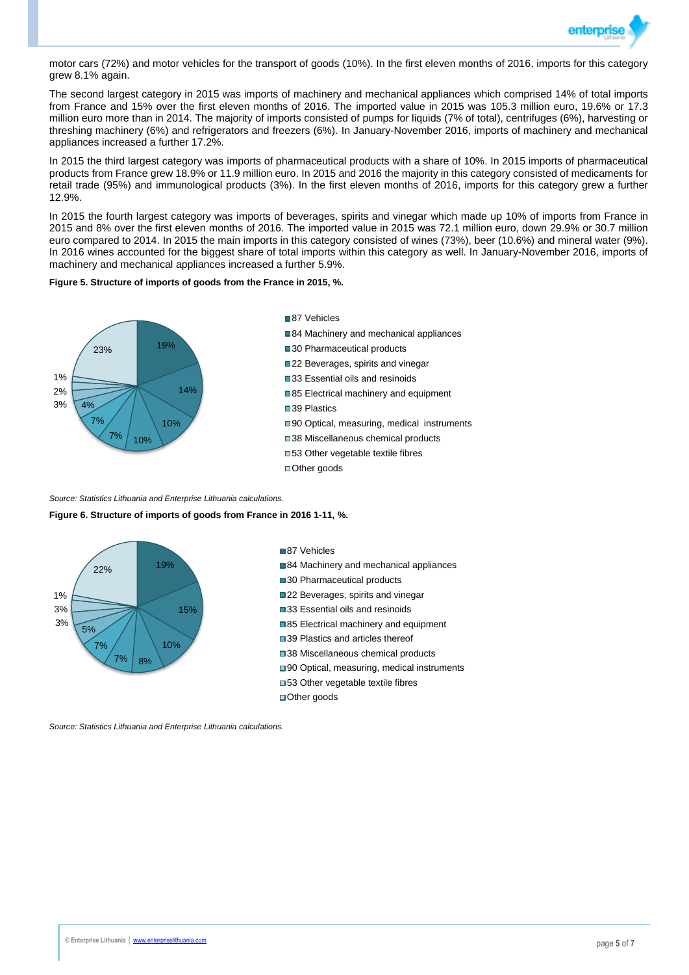

motor cars (72%) and motor vehicles for the transport of goods (10%). In the first eleven months of 2016, imports for this category grew 8.1% again.

The second largest category in 2015 was imports of machinery and mechanical appliances which comprised 14% of total imports from France and 15% over the first eleven months of 2016. The imported value in 2015 was 105.3 million euro, 19.6% or 17.3 million euro more than in 2014. The majority of imports consisted of pumps for liquids (7% of total), centrifuges (6%), harvesting or threshing machinery (6%) and refrigerators and freezers (6%). In January-November 2016, imports of machinery and mechanical appliances increased a further 17.2%.

In 2015 the third largest category was imports of pharmaceutical products with a share of 10%. In 2015 imports of pharmaceutical products from France grew 18.9% or 11.9 million euro. In 2015 and 2016 the majority in this category consisted of medicaments for retail trade (95%) and immunological products (3%). In the first eleven months of 2016, imports for this category grew a further 12.9%.

In 2015 the fourth largest category was imports of beverages, spirits and vinegar which made up 10% of imports from France in 2015 and 8% over the first eleven months of 2016. The imported value in 2015 was 72.1 million euro, down 29.9% or 30.7 million euro compared to 2014. In 2015 the main imports in this category consisted of wines (73%), beer (10.6%) and mineral water (9%). In 2016 wines accounted for the biggest share of total imports within this category as well. In January-November 2016, imports of machinery and mechanical appliances increased a further 5.9%.

#### **Figure 5. Structure of imports of goods from the France in 2015, %.**



84 Machinery and mechanical appliances

- ■30 Pharmaceutical products
- ■22 Beverages, spirits and vinegar
- ■33 Essential oils and resinoids
- ■85 Electrical machinery and equipment
- ■39 Plastics

87 Vehicles

- ■90 Optical, measuring, medical instruments
- ■38 Miscellaneous chemical products
- ■53 Other vegetable textile fibres
- ■Other goods

*Source: Statistics Lithuania and Enterprise Lithuania calculations.*

#### **Figure 6. Structure of imports of goods from France in 2016 1-11, %.**



87 Vehicles

- 84 Machinery and mechanical appliances
- ■30 Pharmaceutical products
- ■22 Beverages, spirits and vinegar
- ■33 Essential oils and resinoids
- ■85 Electrical machinery and equipment
- ■39 Plastics and articles thereof
- ■38 Miscellaneous chemical products
- ■90 Optical, measuring, medical instruments
- ■53 Other vegetable textile fibres
- ■Other goods

*Source: Statistics Lithuania and Enterprise Lithuania calculations.*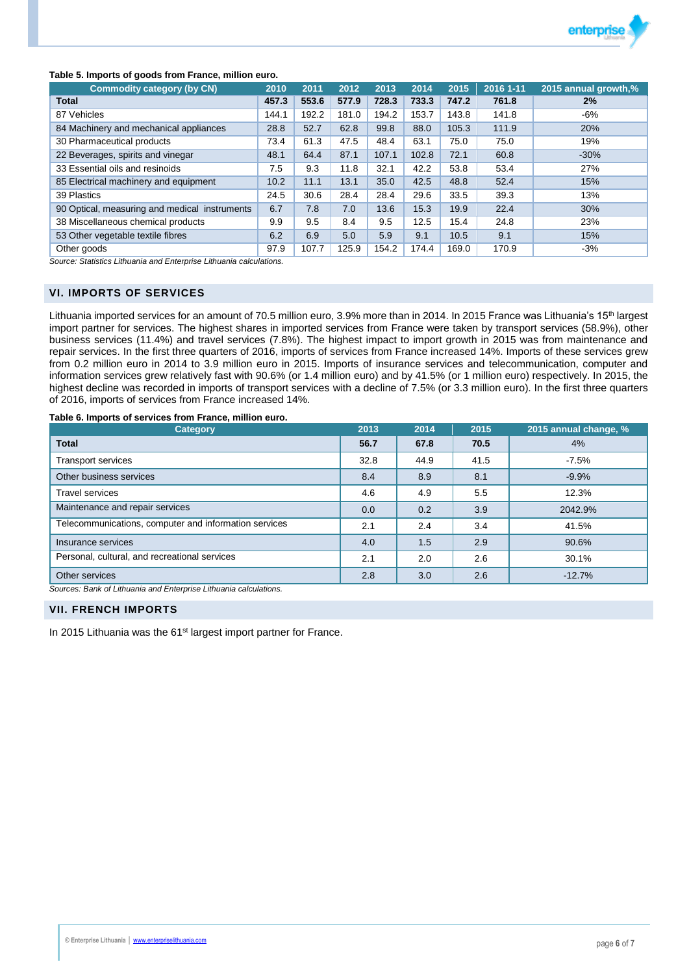

## **Table 5. Imports of goods from France, million euro.**

| <b>Commodity category (by CN)</b>             | 2010  | 2011  | 2012  | 2013  | 2014  | 2015  | 2016 1-11 | 2015 annual growth,% |
|-----------------------------------------------|-------|-------|-------|-------|-------|-------|-----------|----------------------|
| <b>Total</b>                                  | 457.3 | 553.6 | 577.9 | 728.3 | 733.3 | 747.2 | 761.8     | 2%                   |
| 87 Vehicles                                   | 144.1 | 192.2 | 181.0 | 194.2 | 153.7 | 143.8 | 141.8     | $-6%$                |
| 84 Machinery and mechanical appliances        | 28.8  | 52.7  | 62.8  | 99.8  | 88.0  | 105.3 | 111.9     | 20%                  |
| 30 Pharmaceutical products                    | 73.4  | 61.3  | 47.5  | 48.4  | 63.1  | 75.0  | 75.0      | 19%                  |
| 22 Beverages, spirits and vinegar             | 48.1  | 64.4  | 87.1  | 107.1 | 102.8 | 72.1  | 60.8      | $-30%$               |
| 33 Essential oils and resinoids               | 7.5   | 9.3   | 11.8  | 32.1  | 42.2  | 53.8  | 53.4      | 27%                  |
| 85 Electrical machinery and equipment         | 10.2  | 11.1  | 13.1  | 35.0  | 42.5  | 48.8  | 52.4      | 15%                  |
| 39 Plastics                                   | 24.5  | 30.6  | 28.4  | 28.4  | 29.6  | 33.5  | 39.3      | 13%                  |
| 90 Optical, measuring and medical instruments | 6.7   | 7.8   | 7.0   | 13.6  | 15.3  | 19.9  | 22.4      | 30%                  |
| 38 Miscellaneous chemical products            | 9.9   | 9.5   | 8.4   | 9.5   | 12.5  | 15.4  | 24.8      | 23%                  |
| 53 Other vegetable textile fibres             | 6.2   | 6.9   | 5.0   | 5.9   | 9.1   | 10.5  | 9.1       | 15%                  |
| Other goods                                   | 97.9  | 107.7 | 125.9 | 154.2 | 174.4 | 169.0 | 170.9     | -3%                  |

*Source: Statistics Lithuania and Enterprise Lithuania calculations.*

## **VI. IMPORTS OF SERVICES**

Lithuania imported services for an amount of 70.5 million euro, 3.9% more than in 2014. In 2015 France was Lithuania's 15<sup>th</sup> largest import partner for services. The highest shares in imported services from France were taken by transport services (58.9%), other business services (11.4%) and travel services (7.8%). The highest impact to import growth in 2015 was from maintenance and repair services. In the first three quarters of 2016, imports of services from France increased 14%. Imports of these services grew from 0.2 million euro in 2014 to 3.9 million euro in 2015. Imports of insurance services and telecommunication, computer and information services grew relatively fast with 90.6% (or 1.4 million euro) and by 41.5% (or 1 million euro) respectively. In 2015, the highest decline was recorded in imports of transport services with a decline of 7.5% (or 3.3 million euro). In the first three quarters of 2016, imports of services from France increased 14%.

## **Table 6. Imports of services from France, million euro.**

| <b>Category</b>                                       | 2013 | 2014 | 2015 | 2015 annual change, % |
|-------------------------------------------------------|------|------|------|-----------------------|
| <b>Total</b>                                          | 56.7 | 67.8 | 70.5 | 4%                    |
| <b>Transport services</b>                             | 32.8 | 44.9 | 41.5 | $-7.5%$               |
| Other business services                               | 8.4  | 8.9  | 8.1  | $-9.9%$               |
| <b>Travel services</b>                                | 4.6  | 4.9  | 5.5  | 12.3%                 |
| Maintenance and repair services                       | 0.0  | 0.2  | 3.9  | 2042.9%               |
| Telecommunications, computer and information services | 2.1  | 2.4  | 3.4  | 41.5%                 |
| Insurance services                                    | 4.0  | 1.5  | 2.9  | 90.6%                 |
| Personal, cultural, and recreational services         | 2.1  | 2.0  | 2.6  | 30.1%                 |
| Other services                                        | 2.8  | 3.0  | 2.6  | $-12.7%$              |

*Sources: Bank of Lithuania and Enterprise Lithuania calculations.*

## **VII. FRENCH IMPORTS**

In 2015 Lithuania was the 61<sup>st</sup> largest import partner for France.